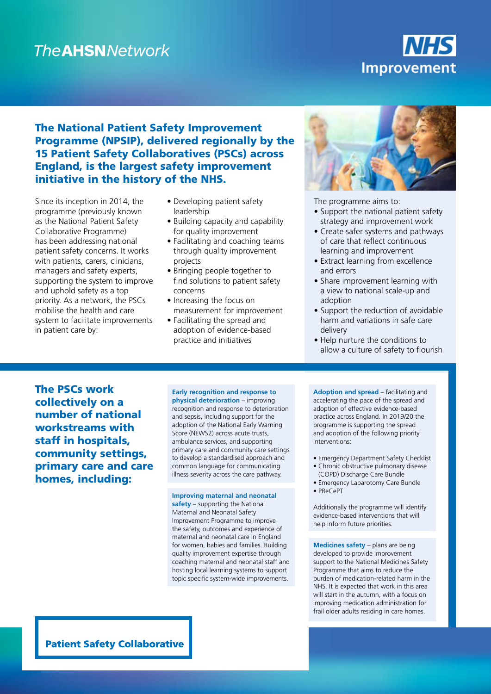## **The AHSN Network**

# **Improvement**

## The National Patient Safety Improvement Programme (NPSIP), delivered regionally by the 15 Patient Safety Collaboratives (PSCs) across England, is the largest safety improvement initiative in the history of the NHS.

Since its inception in 2014, the programme (previously known as the National Patient Safety Collaborative Programme) has been addressing national patient safety concerns. It works with patients, carers, clinicians, managers and safety experts, supporting the system to improve and uphold safety as a top priority. As a network, the PSCs mobilise the health and care system to facilitate improvements in patient care by:

- Developing patient safety leadership
- Building capacity and capability for quality improvement
- Facilitating and coaching teams through quality improvement projects
- Bringing people together to find solutions to patient safety concerns
- Increasing the focus on measurement for improvement
- Facilitating the spread and adoption of evidence-based practice and initiatives



The programme aims to:

- Support the national patient safety strategy and improvement work
- Create safer systems and pathways of care that reflect continuous learning and improvement
- Extract learning from excellence and errors
- Share improvement learning with a view to national scale-up and adoption
- Support the reduction of avoidable harm and variations in safe care delivery
- Help nurture the conditions to allow a culture of safety to flourish

The PSCs work collectively on a number of national workstreams with staff in hospitals, community settings, primary care and care homes, including:

### **Early recognition and response to**

**physical deterioration** – improving recognition and response to deterioration and sepsis, including support for the adoption of the National Early Warning Score (NEWS2) across acute trusts, ambulance services, and supporting primary care and community care settings to develop a standardised approach and common language for communicating illness severity across the care pathway.

#### **Improving maternal and neonatal**

**safety** – supporting the National Maternal and Neonatal Safety Improvement Programme to improve the safety, outcomes and experience of maternal and neonatal care in England for women, babies and families. Building quality improvement expertise through coaching maternal and neonatal staff and hosting local learning systems to support topic specific system-wide improvements.

**Adoption and spread** – facilitating and accelerating the pace of the spread and adoption of effective evidence-based practice across England. In 2019/20 the programme is supporting the spread and adoption of the following priority interventions:

- Emergency Department Safety Checklist
- Chronic obstructive pulmonary disease (COPD) Discharge Care Bundle
- Emergency Laparotomy Care Bundle
- PReCePT

Additionally the programme will identify evidence-based interventions that will help inform future priorities.

**Medicines safety** – plans are being developed to provide improvement support to the National Medicines Safety Programme that aims to reduce the burden of medication-related harm in the NHS. It is expected that work in this area will start in the autumn, with a focus on improving medication administration for frail older adults residing in care homes.